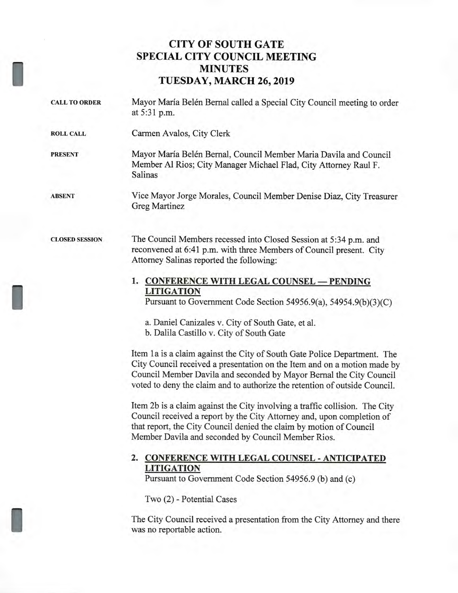# **CITY OF SOUTH GATE SPECIAL CITY COUNCIL MEETING MINUTES TUESDAY, MARCH 26, 2019**

I

I

I

| <b>CALL TO ORDER</b>  | Mayor María Belén Bernal called a Special City Council meeting to order<br>at 5:31 p.m.                                                                                                                                                                                                                   |
|-----------------------|-----------------------------------------------------------------------------------------------------------------------------------------------------------------------------------------------------------------------------------------------------------------------------------------------------------|
| <b>ROLL CALL</b>      | Carmen Avalos, City Clerk                                                                                                                                                                                                                                                                                 |
| <b>PRESENT</b>        | Mayor María Belén Bernal, Council Member Maria Davila and Council<br>Member Al Rios; City Manager Michael Flad, City Attorney Raul F.<br>Salinas                                                                                                                                                          |
| <b>ABSENT</b>         | Vice Mayor Jorge Morales, Council Member Denise Diaz, City Treasurer<br>Greg Martinez                                                                                                                                                                                                                     |
| <b>CLOSED SESSION</b> | The Council Members recessed into Closed Session at 5:34 p.m. and<br>reconvened at 6:41 p.m. with three Members of Council present. City<br>Attorney Salinas reported the following:                                                                                                                      |
|                       | 1. CONFERENCE WITH LEGAL COUNSEL - PENDING<br><b>LITIGATION</b><br>Pursuant to Government Code Section 54956.9(a), 54954.9(b)(3)(C)                                                                                                                                                                       |
|                       | a. Daniel Canizales v. City of South Gate, et al.<br>b. Dalila Castillo v. City of South Gate                                                                                                                                                                                                             |
|                       | Item 1a is a claim against the City of South Gate Police Department. The<br>City Council received a presentation on the Item and on a motion made by<br>Council Member Davila and seconded by Mayor Bernal the City Council<br>voted to deny the claim and to authorize the retention of outside Council. |
|                       | Item 2b is a claim against the City involving a traffic collision. The City<br>Council received a report by the City Attorney and, upon completion of<br>that report, the City Council denied the claim by motion of Council<br>Member Davila and seconded by Council Member Rios.                        |
|                       | 2. CONFERENCE WITH LEGAL COUNSEL - ANTICIPATED<br><b>LITIGATION</b><br>Pursuant to Government Code Section 54956.9 (b) and (c)                                                                                                                                                                            |
|                       | Two (2) - Potential Cases                                                                                                                                                                                                                                                                                 |
|                       | The City Council received a presentation from the City Attorney and there<br>was no reportable action.                                                                                                                                                                                                    |